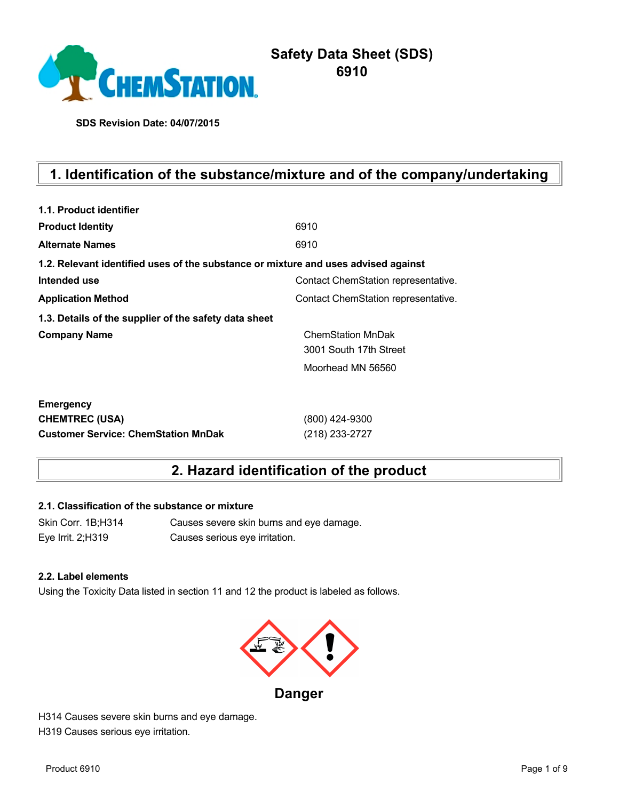

**SDS Revision Date: 04/07/2015**

# **1. Identification of the substance/mixture and of the company/undertaking**

| 1.1. Product identifier                                                            |                                     |
|------------------------------------------------------------------------------------|-------------------------------------|
| <b>Product Identity</b>                                                            | 6910                                |
| <b>Alternate Names</b>                                                             | 6910                                |
| 1.2. Relevant identified uses of the substance or mixture and uses advised against |                                     |
| Intended use                                                                       | Contact ChemStation representative. |
| <b>Application Method</b>                                                          | Contact ChemStation representative. |
| 1.3. Details of the supplier of the safety data sheet                              |                                     |
| <b>Company Name</b>                                                                | <b>ChemStation MnDak</b>            |
|                                                                                    | 3001 South 17th Street              |
|                                                                                    | Moorhead MN 56560                   |
| <b>Emergency</b>                                                                   |                                     |
| <b>CHEMTREC (USA)</b>                                                              | (800) 424-9300                      |
| <b>Customer Service: ChemStation MnDak</b>                                         | (218) 233-2727                      |

## **2. Hazard identification of the product**

## **2.1. Classification of the substance or mixture**

Skin Corr. 1B;H314 Causes severe skin burns and eye damage. Eye Irrit. 2;H319 Causes serious eye irritation.

#### **2.2. Label elements**

Using the Toxicity Data listed in section 11 and 12 the product is labeled as follows.



**Danger**

H314 Causes severe skin burns and eye damage. H319 Causes serious eye irritation.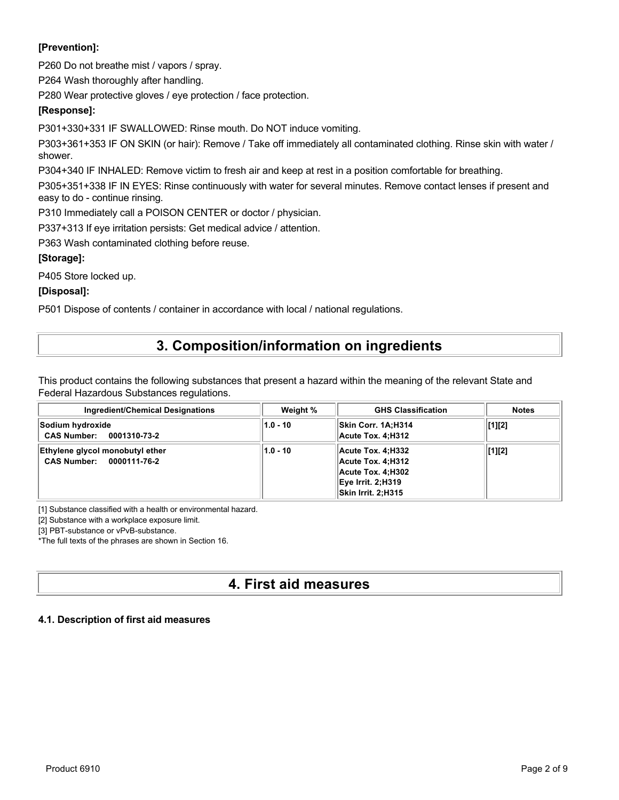## **[Prevention]:**

P260 Do not breathe mist / vapors / spray.

P264 Wash thoroughly after handling.

P280 Wear protective gloves / eye protection / face protection.

## **[Response]:**

P301+330+331 IF SWALLOWED: Rinse mouth. Do NOT induce vomiting.

P303+361+353 IF ON SKIN (or hair): Remove / Take off immediately all contaminated clothing. Rinse skin with water / shower.

P304+340 IF INHALED: Remove victim to fresh air and keep at rest in a position comfortable for breathing.

P305+351+338 IF IN EYES: Rinse continuously with water for several minutes. Remove contact lenses if present and easy to do - continue rinsing.

P310 Immediately call a POISON CENTER or doctor / physician.

P337+313 If eye irritation persists: Get medical advice / attention.

P363 Wash contaminated clothing before reuse.

## **[Storage]:**

P405 Store locked up.

**[Disposal]:**

P501 Dispose of contents / container in accordance with local / national regulations.

# **3. Composition/information on ingredients**

This product contains the following substances that present a hazard within the meaning of the relevant State and Federal Hazardous Substances regulations.

| <b>Ingredient/Chemical Designations</b>                     | Weight %   | <b>GHS Classification</b>                                                                                            | <b>Notes</b>   |
|-------------------------------------------------------------|------------|----------------------------------------------------------------------------------------------------------------------|----------------|
| Sodium hydroxide<br>CAS Number: 0001310-73-2                | $1.0 - 10$ | Skin Corr. 1A:H314<br>Acute Tox. 4:H312                                                                              | $\vert$ [1][2] |
| Ethylene glycol monobutyl ether<br>CAS Number: 0000111-76-2 | $1.0 - 10$ | Acute Tox. 4:H332<br>Acute Tox. 4:H312<br>Acute Tox. 4:H302<br><b>Eye Irrit. 2:H319</b><br><b>Skin Irrit. 2:H315</b> | [1][2]         |

[1] Substance classified with a health or environmental hazard.

[2] Substance with a workplace exposure limit.

[3] PBT-substance or vPvB-substance.

\*The full texts of the phrases are shown in Section 16.

# **4. First aid measures**

## **4.1. Description of first aid measures**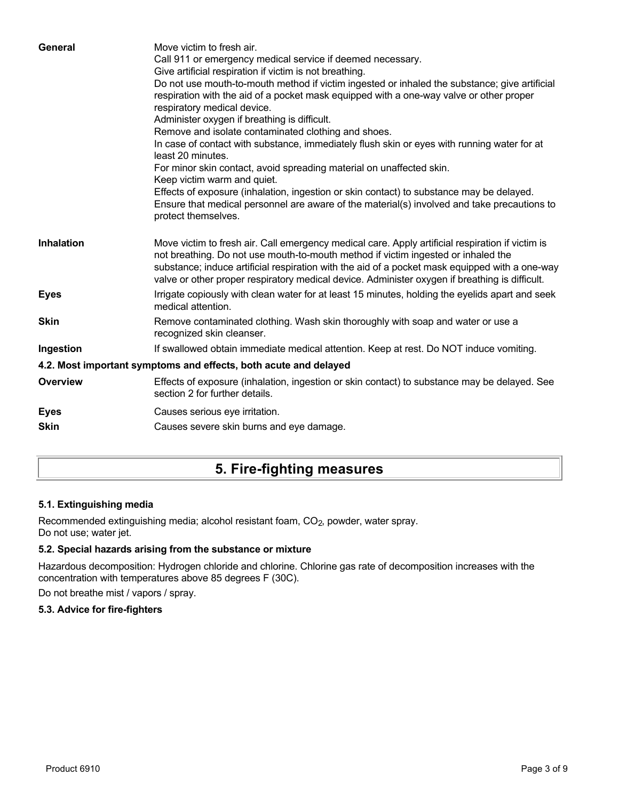| General           | Move victim to fresh air.<br>Call 911 or emergency medical service if deemed necessary.<br>Give artificial respiration if victim is not breathing.<br>Do not use mouth-to-mouth method if victim ingested or inhaled the substance; give artificial<br>respiration with the aid of a pocket mask equipped with a one-way valve or other proper<br>respiratory medical device.<br>Administer oxygen if breathing is difficult.<br>Remove and isolate contaminated clothing and shoes.<br>In case of contact with substance, immediately flush skin or eyes with running water for at<br>least 20 minutes.<br>For minor skin contact, avoid spreading material on unaffected skin.<br>Keep victim warm and quiet.<br>Effects of exposure (inhalation, ingestion or skin contact) to substance may be delayed.<br>Ensure that medical personnel are aware of the material(s) involved and take precautions to<br>protect themselves. |
|-------------------|-----------------------------------------------------------------------------------------------------------------------------------------------------------------------------------------------------------------------------------------------------------------------------------------------------------------------------------------------------------------------------------------------------------------------------------------------------------------------------------------------------------------------------------------------------------------------------------------------------------------------------------------------------------------------------------------------------------------------------------------------------------------------------------------------------------------------------------------------------------------------------------------------------------------------------------|
| <b>Inhalation</b> | Move victim to fresh air. Call emergency medical care. Apply artificial respiration if victim is<br>not breathing. Do not use mouth-to-mouth method if victim ingested or inhaled the<br>substance; induce artificial respiration with the aid of a pocket mask equipped with a one-way<br>valve or other proper respiratory medical device. Administer oxygen if breathing is difficult.                                                                                                                                                                                                                                                                                                                                                                                                                                                                                                                                         |
| <b>Eyes</b>       | Irrigate copiously with clean water for at least 15 minutes, holding the eyelids apart and seek<br>medical attention.                                                                                                                                                                                                                                                                                                                                                                                                                                                                                                                                                                                                                                                                                                                                                                                                             |
| <b>Skin</b>       | Remove contaminated clothing. Wash skin thoroughly with soap and water or use a<br>recognized skin cleanser.                                                                                                                                                                                                                                                                                                                                                                                                                                                                                                                                                                                                                                                                                                                                                                                                                      |
| Ingestion         | If swallowed obtain immediate medical attention. Keep at rest. Do NOT induce vomiting.                                                                                                                                                                                                                                                                                                                                                                                                                                                                                                                                                                                                                                                                                                                                                                                                                                            |
|                   | 4.2. Most important symptoms and effects, both acute and delayed                                                                                                                                                                                                                                                                                                                                                                                                                                                                                                                                                                                                                                                                                                                                                                                                                                                                  |
| <b>Overview</b>   | Effects of exposure (inhalation, ingestion or skin contact) to substance may be delayed. See<br>section 2 for further details.                                                                                                                                                                                                                                                                                                                                                                                                                                                                                                                                                                                                                                                                                                                                                                                                    |
| <b>Eyes</b>       | Causes serious eye irritation.                                                                                                                                                                                                                                                                                                                                                                                                                                                                                                                                                                                                                                                                                                                                                                                                                                                                                                    |
| <b>Skin</b>       | Causes severe skin burns and eye damage.                                                                                                                                                                                                                                                                                                                                                                                                                                                                                                                                                                                                                                                                                                                                                                                                                                                                                          |
|                   |                                                                                                                                                                                                                                                                                                                                                                                                                                                                                                                                                                                                                                                                                                                                                                                                                                                                                                                                   |

# **5. Fire-fighting measures**

## **5.1. Extinguishing media**

Recommended extinguishing media; alcohol resistant foam, CO<sub>2</sub>, powder, water spray. Do not use; water jet.

## **5.2. Special hazards arising from the substance or mixture**

Hazardous decomposition: Hydrogen chloride and chlorine. Chlorine gas rate of decomposition increases with the concentration with temperatures above 85 degrees F (30C).

Do not breathe mist / vapors / spray.

## **5.3. Advice for fire-fighters**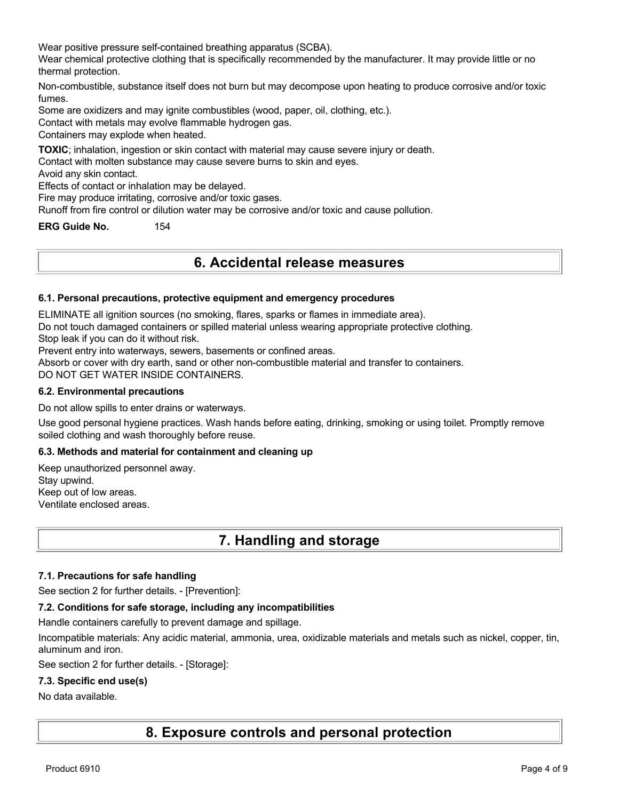Wear positive pressure self-contained breathing apparatus (SCBA).

Wear chemical protective clothing that is specifically recommended by the manufacturer. It may provide little or no thermal protection.

Non-combustible, substance itself does not burn but may decompose upon heating to produce corrosive and/or toxic fumes.

Some are oxidizers and may ignite combustibles (wood, paper, oil, clothing, etc.).

Contact with metals may evolve flammable hydrogen gas.

Containers may explode when heated.

**TOXIC**; inhalation, ingestion or skin contact with material may cause severe injury or death.

Contact with molten substance may cause severe burns to skin and eyes.

Avoid any skin contact.

Effects of contact or inhalation may be delayed.

Fire may produce irritating, corrosive and/or toxic gases.

Runoff from fire control or dilution water may be corrosive and/or toxic and cause pollution.

**ERG Guide No.** 154

## **6. Accidental release measures**

#### **6.1. Personal precautions, protective equipment and emergency procedures**

ELIMINATE all ignition sources (no smoking, flares, sparks or flames in immediate area).

Do not touch damaged containers or spilled material unless wearing appropriate protective clothing.

Stop leak if you can do it without risk.

Prevent entry into waterways, sewers, basements or confined areas.

Absorb or cover with dry earth, sand or other non-combustible material and transfer to containers.

DO NOT GET WATER INSIDE CONTAINERS.

#### **6.2. Environmental precautions**

Do not allow spills to enter drains or waterways.

Use good personal hygiene practices. Wash hands before eating, drinking, smoking or using toilet. Promptly remove soiled clothing and wash thoroughly before reuse.

#### **6.3. Methods and material for containment and cleaning up**

Keep unauthorized personnel away. Stay upwind. Keep out of low areas. Ventilate enclosed areas.

## **7. Handling and storage**

#### **7.1. Precautions for safe handling**

See section 2 for further details. - [Prevention]:

#### **7.2. Conditions for safe storage, including any incompatibilities**

Handle containers carefully to prevent damage and spillage.

Incompatible materials: Any acidic material, ammonia, urea, oxidizable materials and metals such as nickel, copper, tin, aluminum and iron.

See section 2 for further details. - [Storage]:

#### **7.3. Specific end use(s)**

#### No data available.

**8. Exposure controls and personal protection**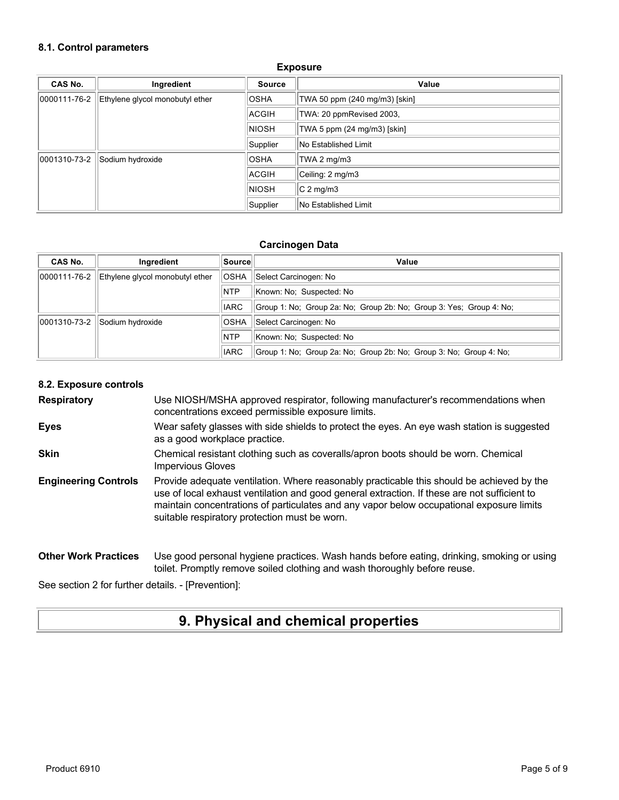#### **8.1. Control parameters**

| CAS No.      | Ingredient                      | <b>Source</b> | Value                         |
|--------------|---------------------------------|---------------|-------------------------------|
| 0000111-76-2 | Ethylene glycol monobutyl ether | <b>OSHA</b>   | TWA 50 ppm (240 mg/m3) [skin] |
|              |                                 | <b>ACGIH</b>  | TWA: 20 ppmRevised 2003,      |
|              |                                 | <b>NIOSH</b>  | TWA 5 ppm (24 mg/m3) [skin]   |
|              |                                 | Supplier      | <b>No Established Limit</b>   |
| 0001310-73-2 | Sodium hydroxide                | <b>OSHA</b>   | TWA 2 mg/m3                   |
|              |                                 | ACGIH         | Ceiling: 2 mg/m3              |
|              |                                 | <b>NIOSH</b>  | $C2$ mg/m3                    |
|              |                                 | Supplier      | No Established Limit          |

#### **Exposure**

#### **Carcinogen Data**

| CAS No.      | Ingredient                      | ∣Source∣    | Value                                                               |
|--------------|---------------------------------|-------------|---------------------------------------------------------------------|
| 0000111-76-2 | Ethylene givcol monobutyl ether | <b>OSHA</b> | Select Carcinogen: No                                               |
|              |                                 | <b>NTP</b>  | Known: No: Suspected: No                                            |
|              |                                 | <b>IARC</b> | Group 1: No; Group 2a: No; Group 2b: No; Group 3: Yes; Group 4: No; |
| 0001310-73-2 | Sodium hydroxide                | <b>OSHA</b> | Select Carcinogen: No                                               |
|              |                                 | <b>NTP</b>  | Known: No: Suspected: No                                            |
|              |                                 | <b>IARC</b> | Group 1: No; Group 2a: No; Group 2b: No; Group 3: No; Group 4: No;  |

#### **8.2. Exposure controls**

**Respiratory** Use NIOSH/MSHA approved respirator, following manufacturer's recommendations when concentrations exceed permissible exposure limits.

- **Eyes** Wear safety glasses with side shields to protect the eyes. An eye wash station is suggested as a good workplace practice.
- **Skin** Chemical resistant clothing such as coveralls/apron boots should be worn. Chemical Impervious Gloves
- **Engineering Controls** Provide adequate ventilation. Where reasonably practicable this should be achieved by the use of local exhaust ventilation and good general extraction. If these are not sufficient to maintain concentrations of particulates and any vapor below occupational exposure limits suitable respiratory protection must be worn.

#### **Other Work Practices** Use good personal hygiene practices. Wash hands before eating, drinking, smoking or using toilet. Promptly remove soiled clothing and wash thoroughly before reuse.

See section 2 for further details. - [Prevention]:

## **9. Physical and chemical properties**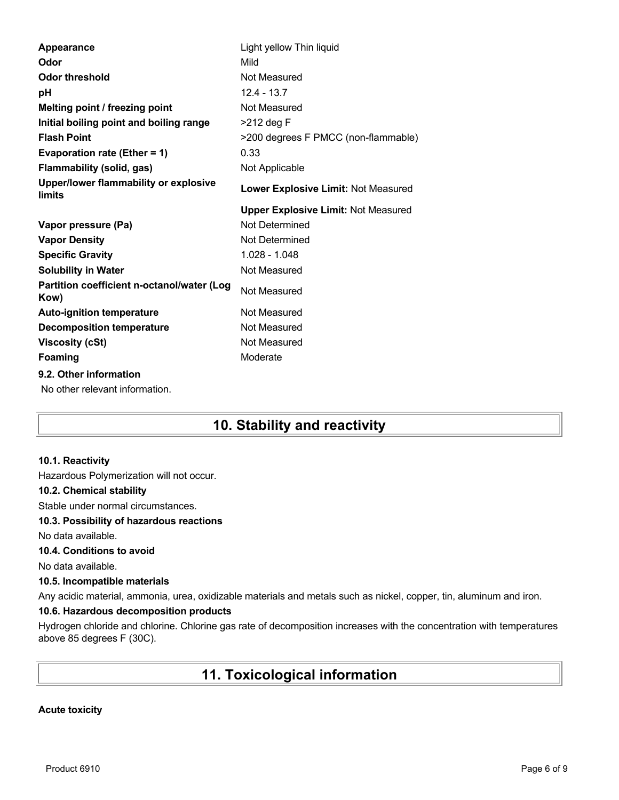| <b>Appearance</b>                                        | Light yellow Thin liquid                   |
|----------------------------------------------------------|--------------------------------------------|
| Odor                                                     | Mild                                       |
| <b>Odor threshold</b>                                    | Not Measured                               |
| рH                                                       | $12.4 - 13.7$                              |
| Melting point / freezing point                           | Not Measured                               |
| Initial boiling point and boiling range                  | $>212$ deg F                               |
| <b>Flash Point</b>                                       | >200 degrees F PMCC (non-flammable)        |
| Evaporation rate (Ether = 1)                             | 0.33                                       |
| <b>Flammability (solid, gas)</b>                         | Not Applicable                             |
| Upper/lower flammability or explosive<br>limits          | Lower Explosive Limit: Not Measured        |
|                                                          | <b>Upper Explosive Limit: Not Measured</b> |
| Vapor pressure (Pa)                                      | Not Determined                             |
| <b>Vapor Density</b>                                     | Not Determined                             |
|                                                          |                                            |
| <b>Specific Gravity</b>                                  | $1.028 - 1.048$                            |
| <b>Solubility in Water</b>                               | Not Measured                               |
| Partition coefficient n-octanol/water (Log<br>Kow)       | Not Measured                               |
| <b>Auto-ignition temperature</b>                         | Not Measured                               |
| <b>Decomposition temperature</b>                         | Not Measured                               |
| <b>Viscosity (cSt)</b>                                   | Not Measured                               |
| <b>Foaming</b>                                           | Moderate                                   |
| 9.2. Other information<br>No other relevant information. |                                            |

# **10. Stability and reactivity**

#### **10.1. Reactivity**

Hazardous Polymerization will not occur.

#### **10.2. Chemical stability**

Stable under normal circumstances.

#### **10.3. Possibility of hazardous reactions**

No data available.

### **10.4. Conditions to avoid**

No data available.

#### **10.5. Incompatible materials**

Any acidic material, ammonia, urea, oxidizable materials and metals such as nickel, copper, tin, aluminum and iron.

### **10.6. Hazardous decomposition products**

Hydrogen chloride and chlorine. Chlorine gas rate of decomposition increases with the concentration with temperatures above 85 degrees F (30C).

# **11. Toxicological information**

#### **Acute toxicity**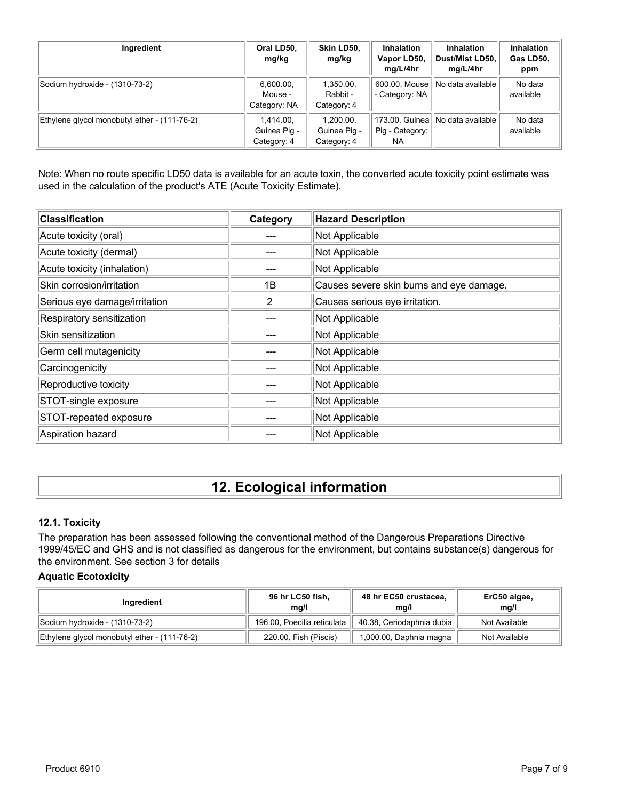| Ingredient                                   | Oral LD50,<br>mg/kg                      | Skin LD50,<br>mg/kg                      | <b>Inhalation</b><br>Vapor LD50,<br>mg/L/4hr | <b>Inhalation</b><br>Dust/Mist LD50,<br>mg/L/4hr | Inhalation<br>Gas LD50,<br>ppm |
|----------------------------------------------|------------------------------------------|------------------------------------------|----------------------------------------------|--------------------------------------------------|--------------------------------|
| Sodium hydroxide - (1310-73-2)               | 6,600.00,<br>Mouse -<br>Category: NA     | 1,350.00,<br>Rabbit -<br>Category: 4     | 600.00, Mouse<br>- Category: NA              | No data available                                | No data<br>available           |
| Ethylene glycol monobutyl ether - (111-76-2) | 1.414.00.<br>Guinea Pig -<br>Category: 4 | 1.200.00.<br>Guinea Pig -<br>Category: 4 | 173.00, Guinea<br>Pig - Category:<br>NA.     | INo data availablel                              | No data<br>available           |

Note: When no route specific LD50 data is available for an acute toxin, the converted acute toxicity point estimate was used in the calculation of the product's ATE (Acute Toxicity Estimate).

| <b>Classification</b>         | Category       | <b>Hazard Description</b>                |
|-------------------------------|----------------|------------------------------------------|
| Acute toxicity (oral)         |                | Not Applicable                           |
| Acute toxicity (dermal)       |                | Not Applicable                           |
| Acute toxicity (inhalation)   |                | Not Applicable                           |
| Skin corrosion/irritation     | 1B             | Causes severe skin burns and eye damage. |
| Serious eye damage/irritation | $\overline{2}$ | Causes serious eye irritation.           |
| Respiratory sensitization     |                | Not Applicable                           |
| Skin sensitization            |                | Not Applicable                           |
| Germ cell mutagenicity        |                | Not Applicable                           |
| Carcinogenicity               |                | Not Applicable                           |
| Reproductive toxicity         |                | Not Applicable                           |
| STOT-single exposure          |                | Not Applicable                           |
| STOT-repeated exposure        |                | Not Applicable                           |
| Aspiration hazard             |                | Not Applicable                           |

# **12. Ecological information**

## **12.1. Toxicity**

The preparation has been assessed following the conventional method of the Dangerous Preparations Directive 1999/45/EC and GHS and is not classified as dangerous for the environment, but contains substance(s) dangerous for the environment. See section 3 for details

#### **Aquatic Ecotoxicity**

| Ingredient                                   | 96 hr LC50 fish,<br>ma/l    | 48 hr EC50 crustacea,<br>ma/l | ErC50 algae,<br>mq/l |
|----------------------------------------------|-----------------------------|-------------------------------|----------------------|
| Sodium hydroxide - (1310-73-2)               | 196.00, Poecilia reticulata | 40.38, Ceriodaphnia dubia     | Not Available        |
| Ethylene glycol monobutyl ether - (111-76-2) | 220.00, Fish (Piscis)       | 1,000.00, Daphnia magna       | Not Available        |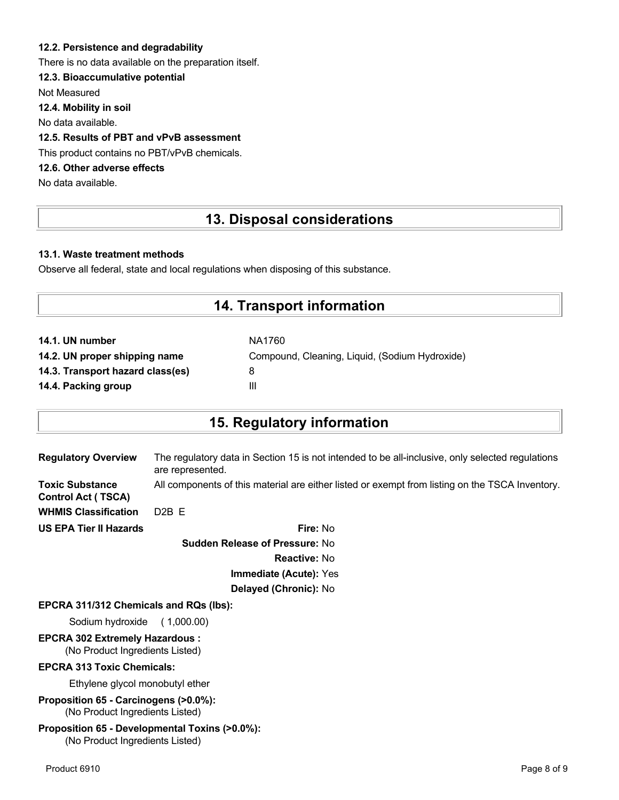### **12.2. Persistence and degradability**

There is no data available on the preparation itself.

## **12.3. Bioaccumulative potential**

Not Measured

**12.4. Mobility in soil**

No data available.

## **12.5. Results of PBT and vPvB assessment**

This product contains no PBT/vPvB chemicals.

## **12.6. Other adverse effects**

No data available.

## **13. Disposal considerations**

#### **13.1. Waste treatment methods**

Observe all federal, state and local regulations when disposing of this substance.

## **14. Transport information**

| NA1760                                         |
|------------------------------------------------|
| Compound, Cleaning, Liquid, (Sodium Hydroxide) |
| 8                                              |
| Ш                                              |
|                                                |

## **15. Regulatory information**

| <b>Regulatory Overview</b>                          | The regulatory data in Section 15 is not intended to be all-inclusive, only selected regulations<br>are represented. |
|-----------------------------------------------------|----------------------------------------------------------------------------------------------------------------------|
| <b>Toxic Substance</b><br><b>Control Act (TSCA)</b> | All components of this material are either listed or exempt from listing on the TSCA Inventory.                      |
| <b>WHMIS Classification</b>                         | $D2B$ F                                                                                                              |
| <b>US EPA Tier II Hazards</b>                       | Fire: No                                                                                                             |
|                                                     |                                                                                                                      |

**Sudden Release of Pressure:** No **Reactive:** No **Immediate (Acute):** Yes **Delayed (Chronic):** No

#### **EPCRA 311/312 Chemicals and RQs (lbs):**

Sodium hydroxide ( 1,000.00)

# **EPCRA 302 Extremely Hazardous :**

(No Product Ingredients Listed)

#### **EPCRA 313 Toxic Chemicals:**

Ethylene glycol monobutyl ether

**Proposition 65 - Carcinogens (>0.0%):** (No Product Ingredients Listed)

#### **Proposition 65 - Developmental Toxins (>0.0%):** (No Product Ingredients Listed)